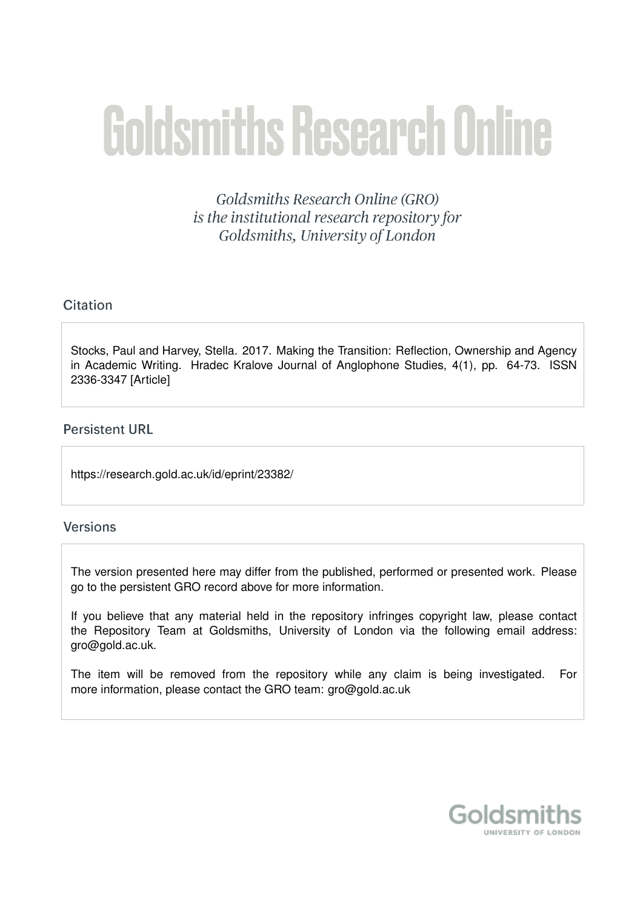# **Goldsmiths Research Online**

Goldsmiths Research Online (GRO) is the institutional research repository for Goldsmiths, University of London

# Citation

Stocks, Paul and Harvey, Stella. 2017. Making the Transition: Reflection, Ownership and Agency in Academic Writing. Hradec Kralove Journal of Anglophone Studies, 4(1), pp. 64-73. ISSN 2336-3347 [Article]

# **Persistent URL**

https://research.gold.ac.uk/id/eprint/23382/

# **Versions**

The version presented here may differ from the published, performed or presented work. Please go to the persistent GRO record above for more information.

If you believe that any material held in the repository infringes copyright law, please contact the Repository Team at Goldsmiths, University of London via the following email address: gro@gold.ac.uk.

The item will be removed from the repository while any claim is being investigated. For more information, please contact the GRO team: gro@gold.ac.uk

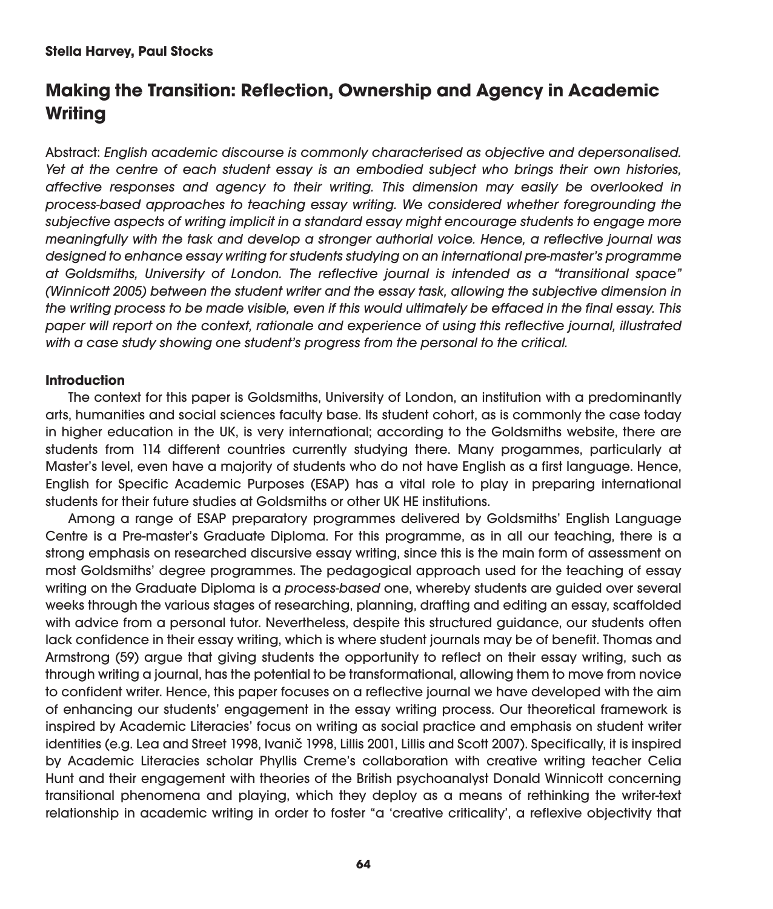### **Stella Harvey, Paul Stocks**

# **Making the Transition: Reflection, Ownership and Agency in Academic Writing**

Abstract: English academic discourse is commonly characterised as objective and depersonalised. Yet at the centre of each student essay is an embodied subject who brings their own histories, affective responses and agency to their writing. This dimension may easily be overlooked in process-based approaches to teaching essay writing. We considered whether foregrounding the subjective aspects of writing implicit in a standard essay might encourage students to engage more meaningfully with the task and develop a stronger authorial voice. Hence, a reflective journal was designed to enhance essay writing for students studying on an international pre-master's programme at Goldsmiths, University of London. The reflective journal is intended as a "transitional space" (Winnicott 2005) between the student writer and the essay task, allowing the subjective dimension in the writing process to be made visible, even if this would ultimately be effaced in the final essay. This paper will report on the context, rationale and experience of using this reflective journal, illustrated with a case study showing one student's progress from the personal to the critical.

#### **Introduction**

The context for this paper is Goldsmiths, University of London, an institution with a predominantly arts, humanities and social sciences faculty base. Its student cohort, as is commonly the case today in higher education in the UK, is very international; according to the Goldsmiths website, there are students from 114 different countries currently studying there. Many progammes, particularly at Master's level, even have a majority of students who do not have English as a first language. Hence, English for Specific Academic Purposes (ESAP) has a vital role to play in preparing international students for their future studies at Goldsmiths or other UK HE institutions.

Among a range of ESAP preparatory programmes delivered by Goldsmiths' English Language Centre is a Pre-master's Graduate Diploma. For this programme, as in all our teaching, there is a strong emphasis on researched discursive essay writing, since this is the main form of assessment on most Goldsmiths' degree programmes. The pedagogical approach used for the teaching of essay writing on the Graduate Diploma is a process-based one, whereby students are guided over several weeks through the various stages of researching, planning, drafting and editing an essay, scaffolded with advice from a personal tutor. Nevertheless, despite this structured guidance, our students often lack confidence in their essay writing, which is where student journals may be of benefit. Thomas and Armstrong (59) argue that giving students the opportunity to reflect on their essay writing, such as through writing a journal, has the potential to be transformational, allowing them to move from novice to confident writer. Hence, this paper focuses on a reflective journal we have developed with the aim of enhancing our students' engagement in the essay writing process. Our theoretical framework is inspired by Academic Literacies' focus on writing as social practice and emphasis on student writer identities (e.g. Lea and Street 1998, Ivanič 1998, Lillis 2001, Lillis and Scott 2007). Specifically, it is inspired by Academic Literacies scholar Phyllis Creme's collaboration with creative writing teacher Celia Hunt and their engagement with theories of the British psychoanalyst Donald Winnicott concerning transitional phenomena and playing, which they deploy as a means of rethinking the writer-text relationship in academic writing in order to foster "a 'creative criticality', a reflexive objectivity that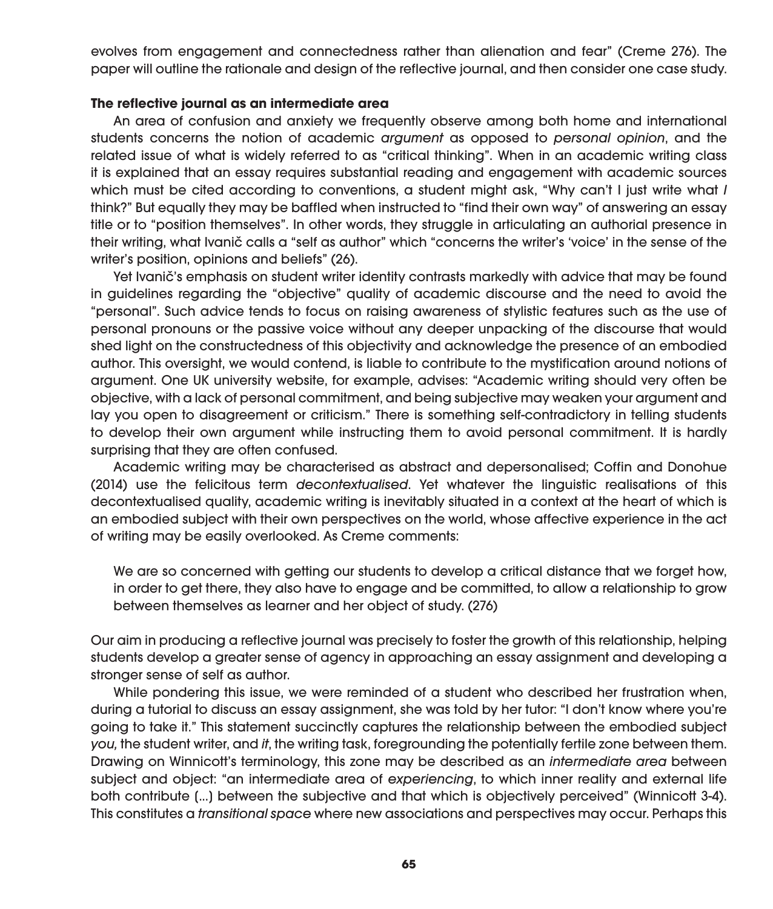evolves from engagement and connectedness rather than alienation and fear" (Creme 276). The paper will outline the rationale and design of the reflective journal, and then consider one case study.

#### **The reflective journal as an intermediate area**

An area of confusion and anxiety we frequently observe among both home and international students concerns the notion of academic argument as opposed to personal opinion, and the related issue of what is widely referred to as "critical thinking". When in an academic writing class it is explained that an essay requires substantial reading and engagement with academic sources which must be cited according to conventions, a student might ask, "Why can't I just write what I think?" But equally they may be baffled when instructed to "find their own way" of answering an essay title or to "position themselves". In other words, they struggle in articulating an authorial presence in their writing, what Ivanič calls a "self as author" which "concerns the writer's 'voice' in the sense of the writer's position, opinions and beliefs" (26).

Yet Ivanič's emphasis on student writer identity contrasts markedly with advice that may be found in guidelines regarding the "objective" quality of academic discourse and the need to avoid the "personal". Such advice tends to focus on raising awareness of stylistic features such as the use of personal pronouns or the passive voice without any deeper unpacking of the discourse that would shed light on the constructedness of this objectivity and acknowledge the presence of an embodied author. This oversight, we would contend, is liable to contribute to the mystification around notions of argument. One UK university website, for example, advises: "Academic writing should very often be objective, with a lack of personal commitment, and being subjective may weaken your argument and lay you open to disagreement or criticism." There is something self-contradictory in telling students to develop their own argument while instructing them to avoid personal commitment. It is hardly surprising that they are often confused.

Academic writing may be characterised as abstract and depersonalised; Coffin and Donohue (2014) use the felicitous term decontextualised. Yet whatever the linguistic realisations of this decontextualised quality, academic writing is inevitably situated in a context at the heart of which is an embodied subject with their own perspectives on the world, whose affective experience in the act of writing may be easily overlooked. As Creme comments:

We are so concerned with getting our students to develop a critical distance that we forget how, in order to get there, they also have to engage and be committed, to allow a relationship to grow between themselves as learner and her object of study. (276)

Our aim in producing a reflective journal was precisely to foster the growth of this relationship, helping students develop a greater sense of agency in approaching an essay assignment and developing a stronger sense of self as author.

While pondering this issue, we were reminded of a student who described her frustration when, during a tutorial to discuss an essay assignment, she was told by her tutor: "I don't know where you're going to take it." This statement succinctly captures the relationship between the embodied subject you, the student writer, and it, the writing task, foregrounding the potentially fertile zone between them. Drawing on Winnicott's terminology, this zone may be described as an intermediate area between subject and object: "an intermediate area of experiencing, to which inner reality and external life both contribute [...] between the subjective and that which is objectively perceived" (Winnicott 3-4). This constitutes a transitional space where new associations and perspectives may occur. Perhaps this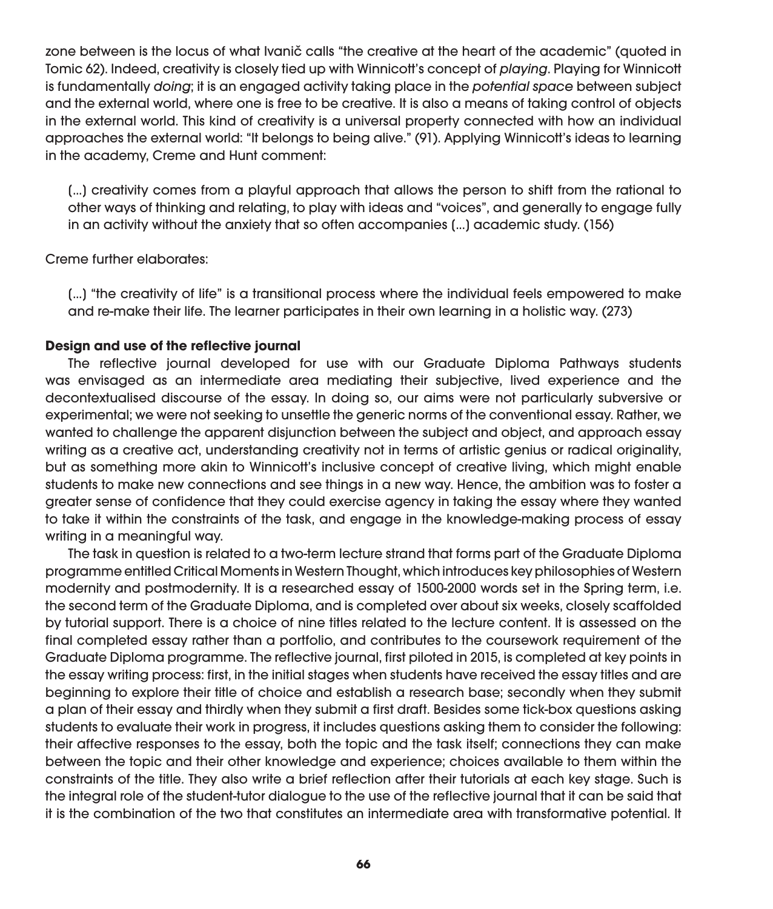zone between is the locus of what Ivanič calls "the creative at the heart of the academic" (quoted in Tomic 62). Indeed, creativity is closely tied up with Winnicott's concept of playing. Playing for Winnicott is fundamentally doing; it is an engaged activity taking place in the potential space between subject and the external world, where one is free to be creative. It is also a means of taking control of objects in the external world. This kind of creativity is a universal property connected with how an individual approaches the external world: "It belongs to being alive." (91). Applying Winnicott's ideas to learning in the academy, Creme and Hunt comment:

[...] creativity comes from a playful approach that allows the person to shift from the rational to other ways of thinking and relating, to play with ideas and "voices", and generally to engage fully in an activity without the anxiety that so often accompanies [...] academic study. (156)

Creme further elaborates:

[...] "the creativity of life" is a transitional process where the individual feels empowered to make and re-make their life. The learner participates in their own learning in a holistic way. (273)

#### **Design and use of the reflective journal**

The reflective journal developed for use with our Graduate Diploma Pathways students was envisaged as an intermediate area mediating their subjective, lived experience and the decontextualised discourse of the essay. In doing so, our aims were not particularly subversive or experimental; we were not seeking to unsettle the generic norms of the conventional essay. Rather, we wanted to challenge the apparent disjunction between the subject and object, and approach essay writing as a creative act, understanding creativity not in terms of artistic genius or radical originality, but as something more akin to Winnicott's inclusive concept of creative living, which might enable students to make new connections and see things in a new way. Hence, the ambition was to foster a greater sense of confidence that they could exercise agency in taking the essay where they wanted to take it within the constraints of the task, and engage in the knowledge-making process of essay writing in a meaningful way.

The task in question is related to a two-term lecture strand that forms part of the Graduate Diploma programme entitled Critical Moments in Western Thought, which introduces key philosophies of Western modernity and postmodernity. It is a researched essay of 1500-2000 words set in the Spring term, i.e. the second term of the Graduate Diploma, and is completed over about six weeks, closely scaffolded by tutorial support. There is a choice of nine titles related to the lecture content. It is assessed on the final completed essay rather than a portfolio, and contributes to the coursework requirement of the Graduate Diploma programme. The reflective journal, first piloted in 2015, is completed at key points in the essay writing process: first, in the initial stages when students have received the essay titles and are beginning to explore their title of choice and establish a research base; secondly when they submit a plan of their essay and thirdly when they submit a first draft. Besides some tick-box questions asking students to evaluate their work in progress, it includes questions asking them to consider the following: their affective responses to the essay, both the topic and the task itself; connections they can make between the topic and their other knowledge and experience; choices available to them within the constraints of the title. They also write a brief reflection after their tutorials at each key stage. Such is the integral role of the student-tutor dialogue to the use of the reflective journal that it can be said that it is the combination of the two that constitutes an intermediate area with transformative potential. It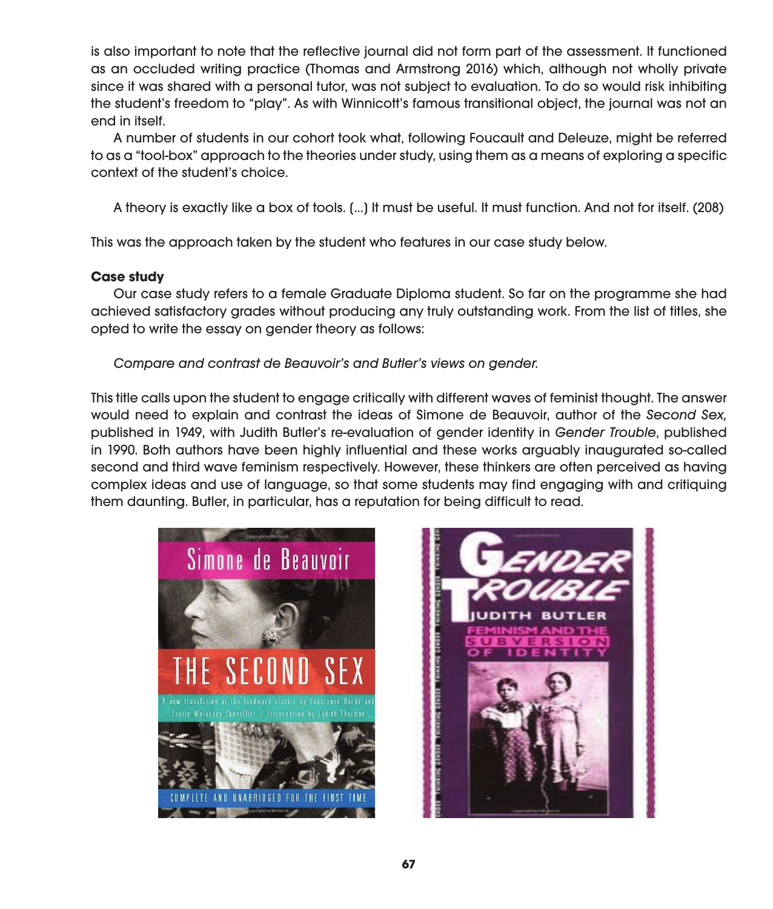is also important to note that the reflective journal did not form part of the assessment. It functioned as an occluded writing practice (Thomas and Armstrong 2016) which, although not wholly private since it was shared with a personal tutor, was not subject to evaluation. To do so would risk inhibiting the student's freedom to "play". As with Winnicott's famous transitional object, the journal was not an end in itself.

A number of students in our cohort took what, following Foucault and Deleuze, might be referred to as a "tool-box" approach to the theories under study, using them as a means of exploring a specific context of the student's choice.

A theory is exactly like a box of tools. [...] It must be useful. It must function. And not for itself. (208)

This was the approach taken by the student who features in our case study below.

## **Case study**

Our case study refers to a female Graduate Diploma student. So far on the programme she had achieved satisfactory grades without producing any truly outstanding work. From the list of titles, she opted to write the essay on gender theory as follows:

Compare and contrast de Beauvoir's and Butler's views on gender.

This title calls upon the student to engage critically with different waves of feminist thought. The answer would need to explain and contrast the ideas of Simone de Beauvoir, author of the Second Sex, published in 1949, with Judith Butler's re-evaluation of gender identity in Gender Trouble, published in 1990. Both authors have been highly influential and these works arguably inaugurated so-called second and third wave feminism respectively. However, these thinkers are often perceived as having complex ideas and use of language, so that some students may find engaging with and critiquing them daunting. Butler, in particular, has a reputation for being difficult to read.



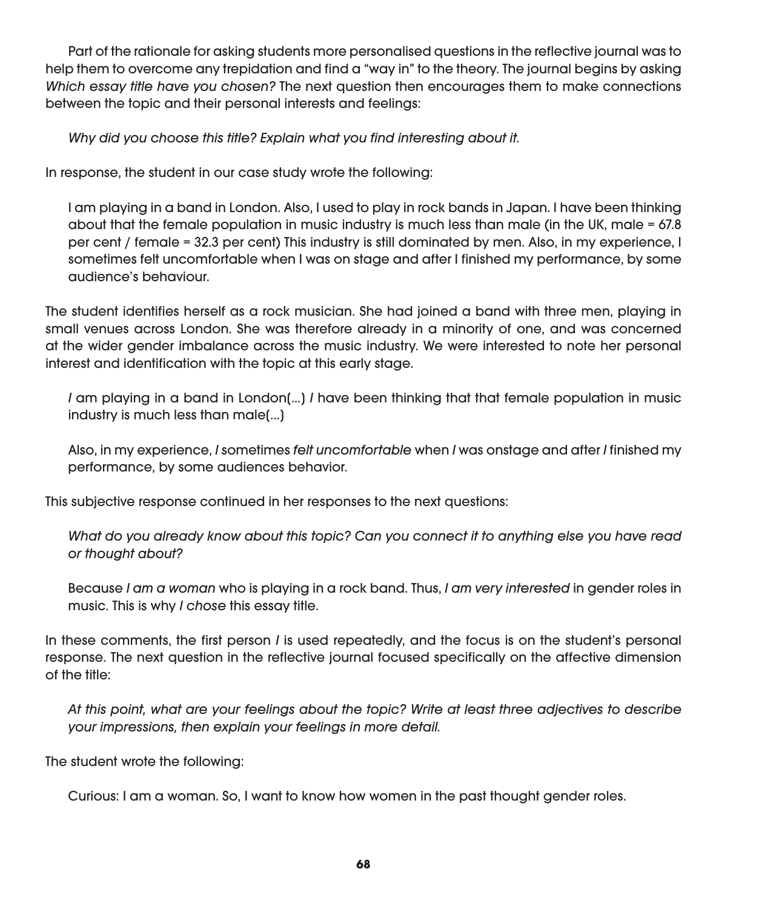Part of the rationale for asking students more personalised questions in the reflective journal was to help them to overcome any trepidation and find a "way in" to the theory. The journal begins by asking Which essay title have you chosen? The next question then encourages them to make connections between the topic and their personal interests and feelings:

Why did you choose this title? Explain what you find interesting about it.

In response, the student in our case study wrote the following:

I am playing in a band in London. Also, I used to play in rock bands in Japan. I have been thinking about that the female population in music industry is much less than male (in the UK, male = 67.8 per cent / female = 32.3 per cent) This industry is still dominated by men. Also, in my experience, I sometimes felt uncomfortable when I was on stage and after I finished my performance, by some audience's behaviour.

The student identifies herself as a rock musician. She had joined a band with three men, playing in small venues across London. She was therefore already in a minority of one, and was concerned at the wider gender imbalance across the music industry. We were interested to note her personal interest and identification with the topic at this early stage.

I am playing in a band in London[...] I have been thinking that that female population in music industry is much less than male[...]

Also, in my experience, I sometimes felt uncomfortable when I was onstage and after I finished my performance, by some audiences behavior.

This subjective response continued in her responses to the next questions:

What do you already know about this topic? Can you connect it to anything else you have read or thought about?

Because I am a woman who is playing in a rock band. Thus, I am very interested in gender roles in music. This is why I chose this essay title.

In these comments, the first person *I* is used repeatedly, and the focus is on the student's personal response. The next question in the reflective journal focused specifically on the affective dimension of the title:

At this point, what are your feelings about the topic? Write at least three adjectives to describe your impressions, then explain your feelings in more detail.

The student wrote the following:

Curious: I am a woman. So, I want to know how women in the past thought gender roles.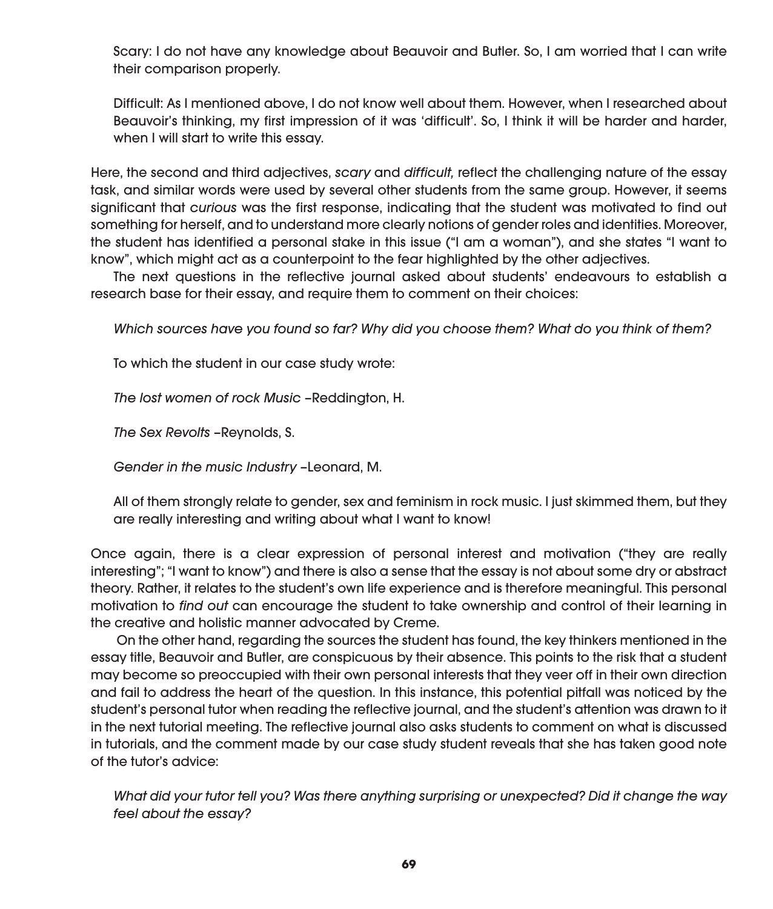Scary: I do not have any knowledge about Beauvoir and Butler. So, I am worried that I can write their comparison properly.

Difficult: As I mentioned above, I do not know well about them. However, when I researched about Beauvoir's thinking, my first impression of it was 'difficult'. So, I think it will be harder and harder, when I will start to write this essay.

Here, the second and third adjectives, scary and difficult, reflect the challenging nature of the essay task, and similar words were used by several other students from the same group. However, it seems significant that curious was the first response, indicating that the student was motivated to find out something for herself, and to understand more clearly notions of gender roles and identities. Moreover, the student has identified a personal stake in this issue ("I am a woman"), and she states "I want to know", which might act as a counterpoint to the fear highlighted by the other adjectives.

The next questions in the reflective journal asked about students' endeavours to establish a research base for their essay, and require them to comment on their choices:

Which sources have you found so far? Why did you choose them? What do you think of them?

To which the student in our case study wrote:

The lost women of rock Music –Reddington, H.

The Sex Revolts -Reynolds, S.

Gender in the music Industry –Leonard, M.

All of them strongly relate to gender, sex and feminism in rock music. I just skimmed them, but they are really interesting and writing about what I want to know!

Once again, there is a clear expression of personal interest and motivation ("they are really interesting"; "I want to know") and there is also a sense that the essay is not about some dry or abstract theory. Rather, it relates to the student's own life experience and is therefore meaningful. This personal motivation to find out can encourage the student to take ownership and control of their learning in the creative and holistic manner advocated by Creme.

 On the other hand, regarding the sources the student has found, the key thinkers mentioned in the essay title, Beauvoir and Butler, are conspicuous by their absence. This points to the risk that a student may become so preoccupied with their own personal interests that they veer off in their own direction and fail to address the heart of the question. In this instance, this potential pitfall was noticed by the student's personal tutor when reading the reflective journal, and the student's attention was drawn to it in the next tutorial meeting. The reflective journal also asks students to comment on what is discussed in tutorials, and the comment made by our case study student reveals that she has taken good note of the tutor's advice:

What did your tutor tell you? Was there anything surprising or unexpected? Did it change the way feel about the essay?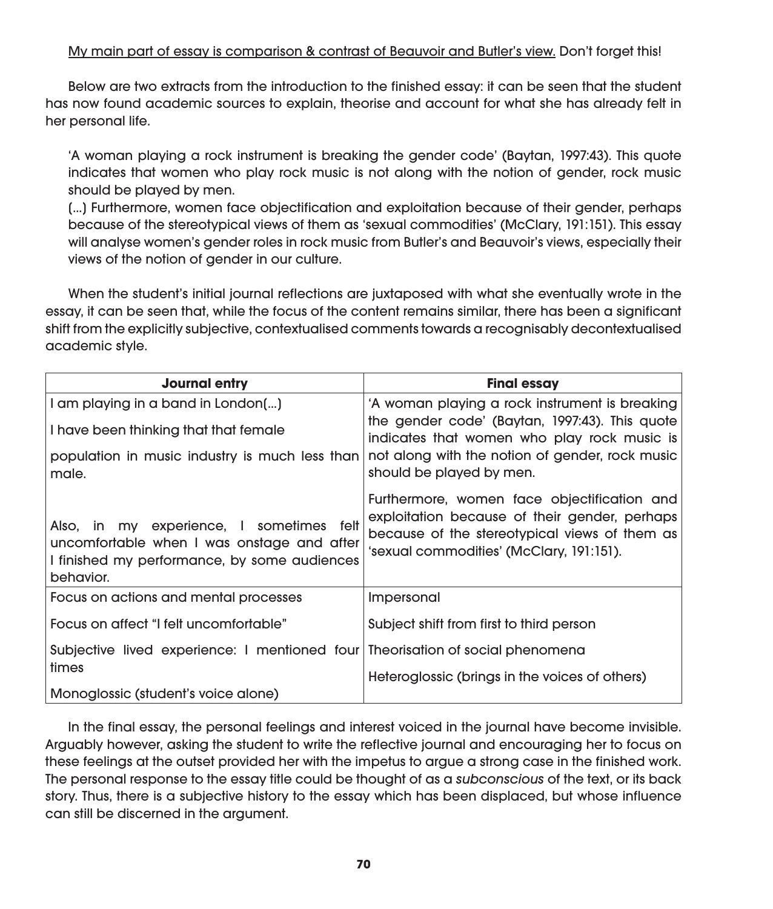## My main part of essay is comparison & contrast of Beauvoir and Butler's view. Don't forget this!

Below are two extracts from the introduction to the finished essay: it can be seen that the student has now found academic sources to explain, theorise and account for what she has already felt in her personal life.

'A woman playing a rock instrument is breaking the gender code' (Baytan, 1997:43). This quote indicates that women who play rock music is not along with the notion of gender, rock music should be played by men.

[...] Furthermore, women face objectification and exploitation because of their gender, perhaps because of the stereotypical views of them as 'sexual commodities' (McClary, 191:151). This essay will analyse women's gender roles in rock music from Butler's and Beauvoir's views, especially their views of the notion of gender in our culture.

When the student's initial journal reflections are juxtaposed with what she eventually wrote in the essay, it can be seen that, while the focus of the content remains similar, there has been a significant shift from the explicitly subjective, contextualised comments towards a recognisably decontextualised academic style.

| <b>Journal entry</b>                                                                                                                                | <b>Final essay</b>                                                                                                                                                                        |
|-----------------------------------------------------------------------------------------------------------------------------------------------------|-------------------------------------------------------------------------------------------------------------------------------------------------------------------------------------------|
| I am playing in a band in London()                                                                                                                  | 'A woman playing a rock instrument is breaking                                                                                                                                            |
| I have been thinking that that female                                                                                                               | the gender code' (Baytan, 1997:43). This quote<br>indicates that women who play rock music is                                                                                             |
| population in music industry is much less than<br>male.                                                                                             | not along with the notion of gender, rock music<br>should be played by men.                                                                                                               |
| Also, in my experience, I sometimes felt<br>uncomfortable when I was onstage and after<br>I finished my performance, by some audiences<br>behavior. | Furthermore, women face objectification and<br>exploitation because of their gender, perhaps<br>because of the stereotypical views of them as<br>'sexual commodities' (McClary, 191:151). |
| Focus on actions and mental processes                                                                                                               | Impersonal                                                                                                                                                                                |
| Focus on affect "I felt uncomfortable"                                                                                                              | Subject shift from first to third person                                                                                                                                                  |
| Subjective lived experience: I mentioned four Theorisation of social phenomena                                                                      |                                                                                                                                                                                           |
| times                                                                                                                                               | Heteroglossic (brings in the voices of others)                                                                                                                                            |
| Monoglossic (student's voice alone)                                                                                                                 |                                                                                                                                                                                           |

In the final essay, the personal feelings and interest voiced in the journal have become invisible. Arguably however, asking the student to write the reflective journal and encouraging her to focus on these feelings at the outset provided her with the impetus to argue a strong case in the finished work. The personal response to the essay title could be thought of as a subconscious of the text, or its back story. Thus, there is a subjective history to the essay which has been displaced, but whose influence can still be discerned in the argument.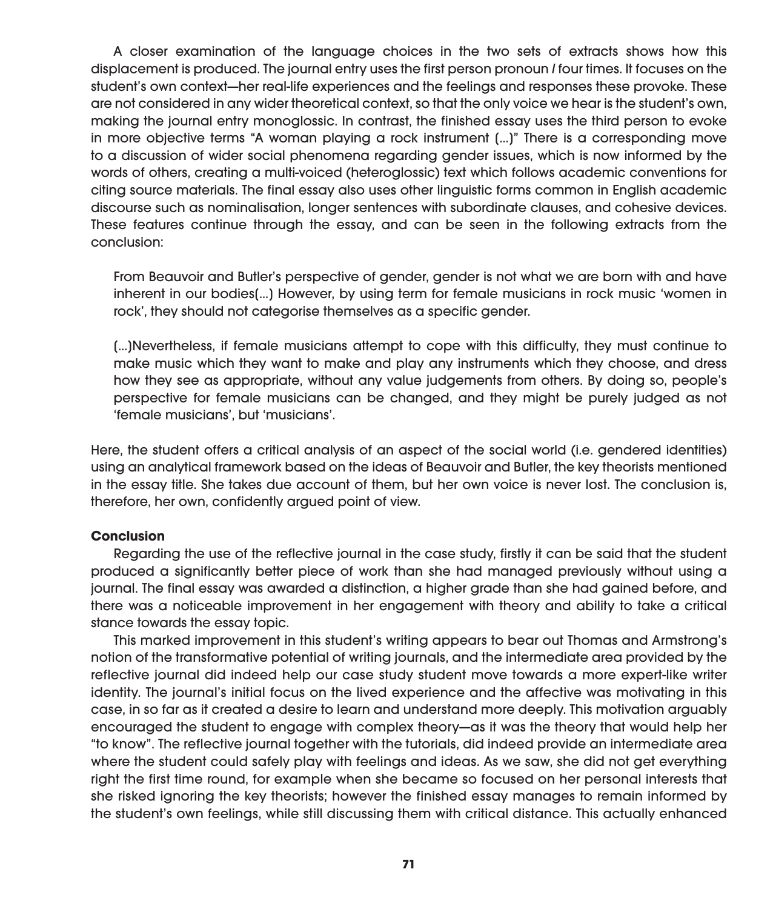A closer examination of the language choices in the two sets of extracts shows how this displacement is produced. The journal entry uses the first person pronoun I four times. It focuses on the student's own context—her real-life experiences and the feelings and responses these provoke. These are not considered in any wider theoretical context, so that the only voice we hear is the student's own, making the journal entry monoglossic. In contrast, the finished essay uses the third person to evoke in more objective terms "A woman playing a rock instrument [...]" There is a corresponding move to a discussion of wider social phenomena regarding gender issues, which is now informed by the words of others, creating a multi-voiced (heteroglossic) text which follows academic conventions for citing source materials. The final essay also uses other linguistic forms common in English academic discourse such as nominalisation, longer sentences with subordinate clauses, and cohesive devices. These features continue through the essay, and can be seen in the following extracts from the conclusion:

From Beauvoir and Butler's perspective of gender, gender is not what we are born with and have inherent in our bodies[...] However, by using term for female musicians in rock music 'women in rock', they should not categorise themselves as a specific gender.

[...]Nevertheless, if female musicians attempt to cope with this difficulty, they must continue to make music which they want to make and play any instruments which they choose, and dress how they see as appropriate, without any value judgements from others. By doing so, people's perspective for female musicians can be changed, and they might be purely judged as not 'female musicians', but 'musicians'.

Here, the student offers a critical analysis of an aspect of the social world (i.e. gendered identities) using an analytical framework based on the ideas of Beauvoir and Butler, the key theorists mentioned in the essay title. She takes due account of them, but her own voice is never lost. The conclusion is, therefore, her own, confidently argued point of view.

#### **Conclusion**

Regarding the use of the reflective journal in the case study, firstly it can be said that the student produced a significantly better piece of work than she had managed previously without using a journal. The final essay was awarded a distinction, a higher grade than she had gained before, and there was a noticeable improvement in her engagement with theory and ability to take a critical stance towards the essay topic.

This marked improvement in this student's writing appears to bear out Thomas and Armstrong's notion of the transformative potential of writing journals, and the intermediate area provided by the reflective journal did indeed help our case study student move towards a more expert-like writer identity. The journal's initial focus on the lived experience and the affective was motivating in this case, in so far as it created a desire to learn and understand more deeply. This motivation arguably encouraged the student to engage with complex theory—as it was the theory that would help her "to know". The reflective journal together with the tutorials, did indeed provide an intermediate area where the student could safely play with feelings and ideas. As we saw, she did not get everything right the first time round, for example when she became so focused on her personal interests that she risked ignoring the key theorists; however the finished essay manages to remain informed by the student's own feelings, while still discussing them with critical distance. This actually enhanced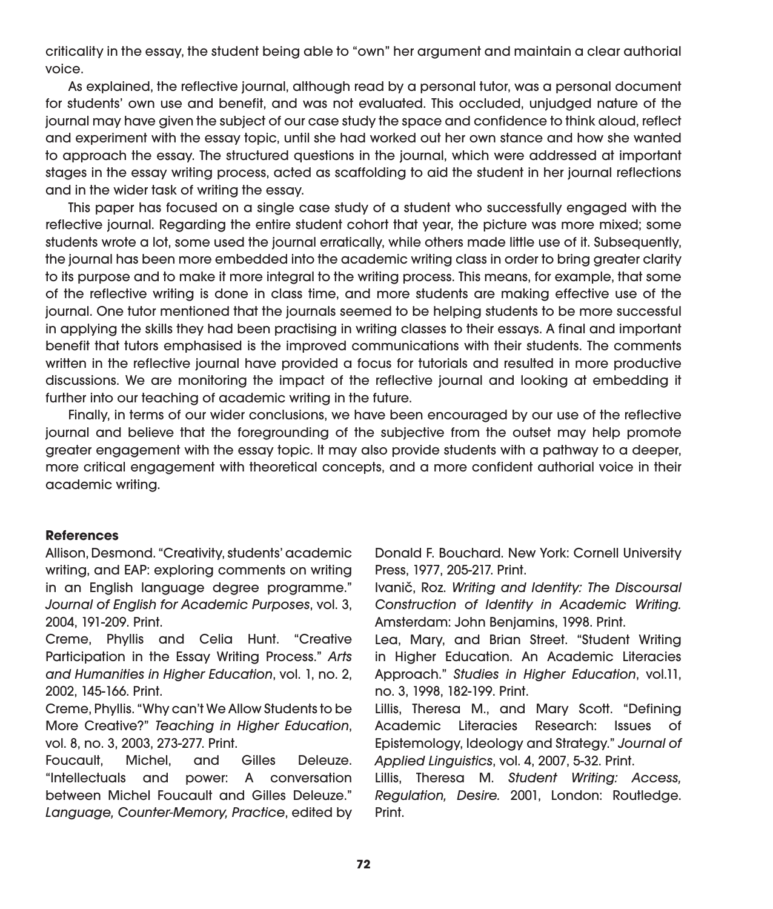criticality in the essay, the student being able to "own" her argument and maintain a clear authorial voice.

As explained, the reflective journal, although read by a personal tutor, was a personal document for students' own use and benefit, and was not evaluated. This occluded, unjudged nature of the journal may have given the subject of our case study the space and confidence to think aloud, reflect and experiment with the essay topic, until she had worked out her own stance and how she wanted to approach the essay. The structured questions in the journal, which were addressed at important stages in the essay writing process, acted as scaffolding to aid the student in her journal reflections and in the wider task of writing the essay.

This paper has focused on a single case study of a student who successfully engaged with the reflective journal. Regarding the entire student cohort that year, the picture was more mixed; some students wrote a lot, some used the journal erratically, while others made little use of it. Subsequently, the journal has been more embedded into the academic writing class in order to bring greater clarity to its purpose and to make it more integral to the writing process. This means, for example, that some of the reflective writing is done in class time, and more students are making effective use of the journal. One tutor mentioned that the journals seemed to be helping students to be more successful in applying the skills they had been practising in writing classes to their essays. A final and important benefit that tutors emphasised is the improved communications with their students. The comments written in the reflective journal have provided a focus for tutorials and resulted in more productive discussions. We are monitoring the impact of the reflective journal and looking at embedding it further into our teaching of academic writing in the future.

Finally, in terms of our wider conclusions, we have been encouraged by our use of the reflective journal and believe that the foregrounding of the subjective from the outset may help promote greater engagement with the essay topic. It may also provide students with a pathway to a deeper, more critical engagement with theoretical concepts, and a more confident authorial voice in their academic writing.

#### **References**

Allison, Desmond. "Creativity, students' academic writing, and EAP: exploring comments on writing in an English language degree programme." Journal of English for Academic Purposes, vol. 3, 2004, 191-209. Print.

Creme, Phyllis and Celia Hunt. "Creative Participation in the Essay Writing Process." Arts and Humanities in Higher Education, vol. 1, no. 2, 2002, 145-166. Print.

Creme, Phyllis. "Why can't We Allow Students to be More Creative?" Teaching in Higher Education, vol. 8, no. 3, 2003, 273-277. Print.

Foucault, Michel, and Gilles Deleuze. "Intellectuals and power: A conversation between Michel Foucault and Gilles Deleuze." Language, Counter-Memory, Practice, edited by Donald F. Bouchard. New York: Cornell University Press, 1977, 205-217. Print.

Ivanič, Roz. Writing and Identity: The Discoursal Construction of Identity in Academic Writing. Amsterdam: John Benjamins, 1998. Print.

Lea, Mary, and Brian Street. "Student Writing in Higher Education. An Academic Literacies Approach." Studies in Higher Education, vol.11, no. 3, 1998, 182-199. Print.

Lillis, Theresa M., and Mary Scott. "Defining Academic Literacies Research: Issues of Epistemology, Ideology and Strategy." Journal of Applied Linguistics, vol. 4, 2007, 5-32. Print.

Lillis, Theresa M. Student Writing: Access, Regulation, Desire. 2001, London: Routledge. Print.